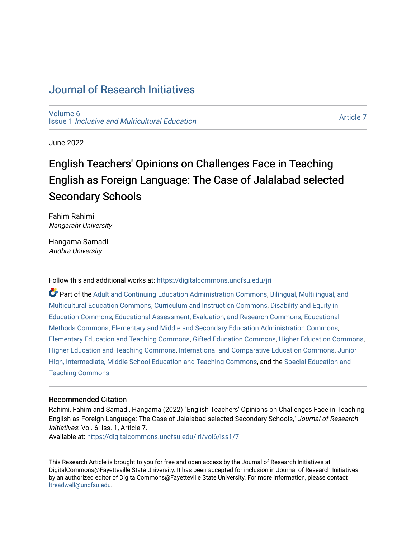## [Journal of Research Initiatives](https://digitalcommons.uncfsu.edu/jri)

[Volume 6](https://digitalcommons.uncfsu.edu/jri/vol6) Issue 1 [Inclusive and Multicultural Education](https://digitalcommons.uncfsu.edu/jri/vol6/iss1) 

[Article 7](https://digitalcommons.uncfsu.edu/jri/vol6/iss1/7) 

June 2022

# English Teachers' Opinions on Challenges Face in Teaching English as Foreign Language: The Case of Jalalabad selected Secondary Schools

Fahim Rahimi Nangarahr University

Hangama Samadi Andhra University

Follow this and additional works at: [https://digitalcommons.uncfsu.edu/jri](https://digitalcommons.uncfsu.edu/jri?utm_source=digitalcommons.uncfsu.edu%2Fjri%2Fvol6%2Fiss1%2F7&utm_medium=PDF&utm_campaign=PDFCoverPages) 

Part of the [Adult and Continuing Education Administration Commons](https://network.bepress.com/hgg/discipline/789?utm_source=digitalcommons.uncfsu.edu%2Fjri%2Fvol6%2Fiss1%2F7&utm_medium=PDF&utm_campaign=PDFCoverPages), Bilingual, Multilingual, and [Multicultural Education Commons,](https://network.bepress.com/hgg/discipline/785?utm_source=digitalcommons.uncfsu.edu%2Fjri%2Fvol6%2Fiss1%2F7&utm_medium=PDF&utm_campaign=PDFCoverPages) [Curriculum and Instruction Commons,](https://network.bepress.com/hgg/discipline/786?utm_source=digitalcommons.uncfsu.edu%2Fjri%2Fvol6%2Fiss1%2F7&utm_medium=PDF&utm_campaign=PDFCoverPages) [Disability and Equity in](https://network.bepress.com/hgg/discipline/1040?utm_source=digitalcommons.uncfsu.edu%2Fjri%2Fvol6%2Fiss1%2F7&utm_medium=PDF&utm_campaign=PDFCoverPages)  [Education Commons,](https://network.bepress.com/hgg/discipline/1040?utm_source=digitalcommons.uncfsu.edu%2Fjri%2Fvol6%2Fiss1%2F7&utm_medium=PDF&utm_campaign=PDFCoverPages) [Educational Assessment, Evaluation, and Research Commons](https://network.bepress.com/hgg/discipline/796?utm_source=digitalcommons.uncfsu.edu%2Fjri%2Fvol6%2Fiss1%2F7&utm_medium=PDF&utm_campaign=PDFCoverPages), [Educational](https://network.bepress.com/hgg/discipline/1227?utm_source=digitalcommons.uncfsu.edu%2Fjri%2Fvol6%2Fiss1%2F7&utm_medium=PDF&utm_campaign=PDFCoverPages)  [Methods Commons,](https://network.bepress.com/hgg/discipline/1227?utm_source=digitalcommons.uncfsu.edu%2Fjri%2Fvol6%2Fiss1%2F7&utm_medium=PDF&utm_campaign=PDFCoverPages) [Elementary and Middle and Secondary Education Administration Commons,](https://network.bepress.com/hgg/discipline/790?utm_source=digitalcommons.uncfsu.edu%2Fjri%2Fvol6%2Fiss1%2F7&utm_medium=PDF&utm_campaign=PDFCoverPages) [Elementary Education and Teaching Commons](https://network.bepress.com/hgg/discipline/805?utm_source=digitalcommons.uncfsu.edu%2Fjri%2Fvol6%2Fiss1%2F7&utm_medium=PDF&utm_campaign=PDFCoverPages), [Gifted Education Commons](https://network.bepress.com/hgg/discipline/1048?utm_source=digitalcommons.uncfsu.edu%2Fjri%2Fvol6%2Fiss1%2F7&utm_medium=PDF&utm_campaign=PDFCoverPages), [Higher Education Commons](https://network.bepress.com/hgg/discipline/1245?utm_source=digitalcommons.uncfsu.edu%2Fjri%2Fvol6%2Fiss1%2F7&utm_medium=PDF&utm_campaign=PDFCoverPages), [Higher Education and Teaching Commons,](https://network.bepress.com/hgg/discipline/806?utm_source=digitalcommons.uncfsu.edu%2Fjri%2Fvol6%2Fiss1%2F7&utm_medium=PDF&utm_campaign=PDFCoverPages) [International and Comparative Education Commons,](https://network.bepress.com/hgg/discipline/797?utm_source=digitalcommons.uncfsu.edu%2Fjri%2Fvol6%2Fiss1%2F7&utm_medium=PDF&utm_campaign=PDFCoverPages) [Junior](https://network.bepress.com/hgg/discipline/807?utm_source=digitalcommons.uncfsu.edu%2Fjri%2Fvol6%2Fiss1%2F7&utm_medium=PDF&utm_campaign=PDFCoverPages) [High, Intermediate, Middle School Education and Teaching Commons](https://network.bepress.com/hgg/discipline/807?utm_source=digitalcommons.uncfsu.edu%2Fjri%2Fvol6%2Fiss1%2F7&utm_medium=PDF&utm_campaign=PDFCoverPages), and the [Special Education and](https://network.bepress.com/hgg/discipline/801?utm_source=digitalcommons.uncfsu.edu%2Fjri%2Fvol6%2Fiss1%2F7&utm_medium=PDF&utm_campaign=PDFCoverPages)  [Teaching Commons](https://network.bepress.com/hgg/discipline/801?utm_source=digitalcommons.uncfsu.edu%2Fjri%2Fvol6%2Fiss1%2F7&utm_medium=PDF&utm_campaign=PDFCoverPages)

## Recommended Citation

Rahimi, Fahim and Samadi, Hangama (2022) "English Teachers' Opinions on Challenges Face in Teaching English as Foreign Language: The Case of Jalalabad selected Secondary Schools," Journal of Research Initiatives: Vol. 6: Iss. 1, Article 7. Available at: [https://digitalcommons.uncfsu.edu/jri/vol6/iss1/7](https://digitalcommons.uncfsu.edu/jri/vol6/iss1/7?utm_source=digitalcommons.uncfsu.edu%2Fjri%2Fvol6%2Fiss1%2F7&utm_medium=PDF&utm_campaign=PDFCoverPages) 

This Research Article is brought to you for free and open access by the Journal of Research Initiatives at DigitalCommons@Fayetteville State University. It has been accepted for inclusion in Journal of Research Initiatives by an authorized editor of DigitalCommons@Fayetteville State University. For more information, please contact [ltreadwell@uncfsu.edu](mailto:ltreadwell@uncfsu.edu).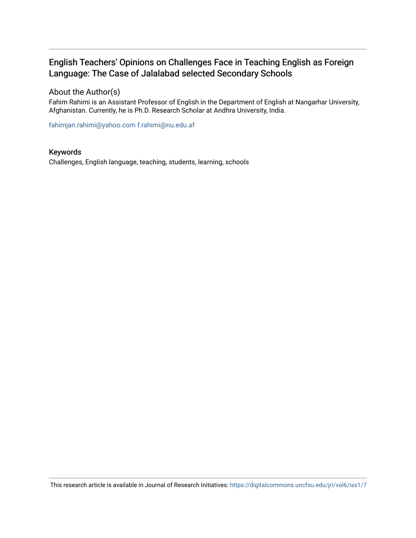## English Teachers' Opinions on Challenges Face in Teaching English as Foreign Language: The Case of Jalalabad selected Secondary Schools

## About the Author(s)

Fahim Rahimi is an Assistant Professor of English in the Department of English at Nangarhar University, Afghanistan. Currently, he is Ph.D. Research Scholar at Andhra University, India.

[fahimjan.rahimi@yahoo.com](mailto:fahimjan.rahimi@yahoo.com) [f.rahimi@nu.edu.af](mailto:f.rahimi@nu.edu.af) 

## Keywords

Challenges, English language, teaching, students, learning, schools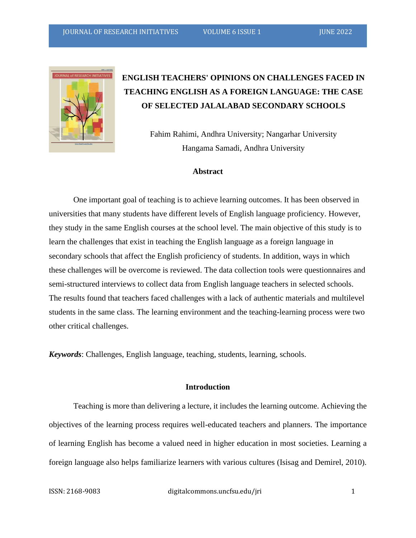

## **ENGLISH TEACHERS' OPINIONS ON CHALLENGES FACED IN TEACHING ENGLISH AS A FOREIGN LANGUAGE: THE CASE OF SELECTED JALALABAD SECONDARY SCHOOLS**

Fahim Rahimi, Andhra University; Nangarhar University Hangama Samadi, Andhra University

## **Abstract**

One important goal of teaching is to achieve learning outcomes. It has been observed in universities that many students have different levels of English language proficiency. However, they study in the same English courses at the school level. The main objective of this study is to learn the challenges that exist in teaching the English language as a foreign language in secondary schools that affect the English proficiency of students. In addition, ways in which these challenges will be overcome is reviewed. The data collection tools were questionnaires and semi-structured interviews to collect data from English language teachers in selected schools. The results found that teachers faced challenges with a lack of authentic materials and multilevel students in the same class. The learning environment and the teaching-learning process were two other critical challenges.

*Keywords*: Challenges, English language, teaching, students, learning, schools.

### **Introduction**

Teaching is more than delivering a lecture, it includes the learning outcome. Achieving the objectives of the learning process requires well-educated teachers and planners. The importance of learning English has become a valued need in higher education in most societies. Learning a foreign language also helps familiarize learners with various cultures (Isisag and Demirel, 2010).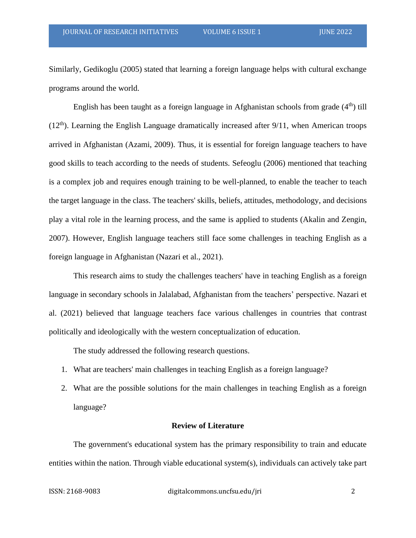Similarly, Gedikoglu (2005) stated that learning a foreign language helps with cultural exchange programs around the world.

English has been taught as a foreign language in Afghanistan schools from grade  $(4<sup>th</sup>)$  till  $(12<sup>th</sup>)$ . Learning the English Language dramatically increased after 9/11, when American troops arrived in Afghanistan (Azami, 2009). Thus, it is essential for foreign language teachers to have good skills to teach according to the needs of students. Sefeoglu (2006) mentioned that teaching is a complex job and requires enough training to be well-planned, to enable the teacher to teach the target language in the class. The teachers' skills, beliefs, attitudes, methodology, and decisions play a vital role in the learning process, and the same is applied to students (Akalin and Zengin, 2007). However, English language teachers still face some challenges in teaching English as a foreign language in Afghanistan (Nazari et al., 2021).

This research aims to study the challenges teachers' have in teaching English as a foreign language in secondary schools in Jalalabad, Afghanistan from the teachers' perspective. Nazari et al. (2021) believed that language teachers face various challenges in countries that contrast politically and ideologically with the western conceptualization of education.

The study addressed the following research questions.

- 1. What are teachers' main challenges in teaching English as a foreign language?
- 2. What are the possible solutions for the main challenges in teaching English as a foreign language?

## **Review of Literature**

The government's educational system has the primary responsibility to train and educate entities within the nation. Through viable educational system(s), individuals can actively take part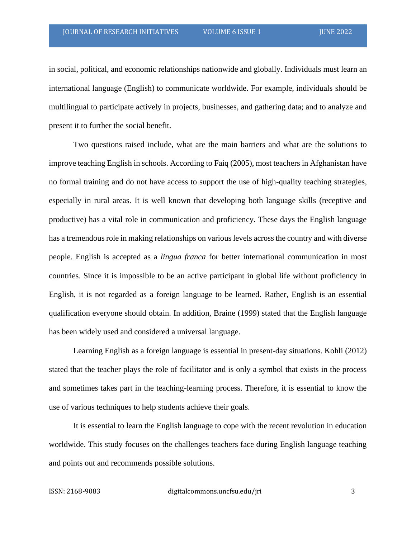in social, political, and economic relationships nationwide and globally. Individuals must learn an international language (English) to communicate worldwide. For example, individuals should be multilingual to participate actively in projects, businesses, and gathering data; and to analyze and present it to further the social benefit.

Two questions raised include, what are the main barriers and what are the solutions to improve teaching English in schools. According to Faiq (2005), most teachers in Afghanistan have no formal training and do not have access to support the use of high-quality teaching strategies, especially in rural areas. It is well known that developing both language skills (receptive and productive) has a vital role in communication and proficiency. These days the English language has a tremendous role in making relationships on various levels across the country and with diverse people. English is accepted as a *lingua franca* for better international communication in most countries. Since it is impossible to be an active participant in global life without proficiency in English, it is not regarded as a foreign language to be learned. Rather, English is an essential qualification everyone should obtain. In addition, Braine (1999) stated that the English language has been widely used and considered a universal language.

Learning English as a foreign language is essential in present-day situations. Kohli (2012) stated that the teacher plays the role of facilitator and is only a symbol that exists in the process and sometimes takes part in the teaching-learning process. Therefore, it is essential to know the use of various techniques to help students achieve their goals.

It is essential to learn the English language to cope with the recent revolution in education worldwide. This study focuses on the challenges teachers face during English language teaching and points out and recommends possible solutions.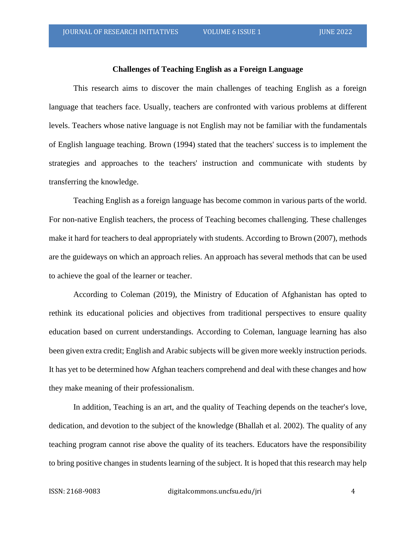### **Challenges of Teaching English as a Foreign Language**

This research aims to discover the main challenges of teaching English as a foreign language that teachers face. Usually, teachers are confronted with various problems at different levels. Teachers whose native language is not English may not be familiar with the fundamentals of English language teaching. Brown (1994) stated that the teachers' success is to implement the strategies and approaches to the teachers' instruction and communicate with students by transferring the knowledge.

Teaching English as a foreign language has become common in various parts of the world. For non-native English teachers, the process of Teaching becomes challenging. These challenges make it hard for teachers to deal appropriately with students. According to Brown (2007), methods are the guideways on which an approach relies. An approach has several methods that can be used to achieve the goal of the learner or teacher.

According to Coleman (2019), the Ministry of Education of Afghanistan has opted to rethink its educational policies and objectives from traditional perspectives to ensure quality education based on current understandings. According to Coleman, language learning has also been given extra credit; English and Arabic subjects will be given more weekly instruction periods. It has yet to be determined how Afghan teachers comprehend and deal with these changes and how they make meaning of their professionalism.

In addition, Teaching is an art, and the quality of Teaching depends on the teacher's love, dedication, and devotion to the subject of the knowledge (Bhallah et al. 2002). The quality of any teaching program cannot rise above the quality of its teachers. Educators have the responsibility to bring positive changes in students learning of the subject. It is hoped that this research may help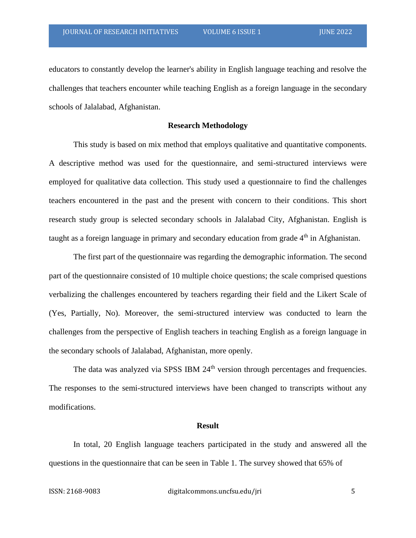educators to constantly develop the learner's ability in English language teaching and resolve the challenges that teachers encounter while teaching English as a foreign language in the secondary schools of Jalalabad, Afghanistan.

#### **Research Methodology**

This study is based on mix method that employs qualitative and quantitative components. A descriptive method was used for the questionnaire, and semi-structured interviews were employed for qualitative data collection. This study used a questionnaire to find the challenges teachers encountered in the past and the present with concern to their conditions. This short research study group is selected secondary schools in Jalalabad City, Afghanistan. English is taught as a foreign language in primary and secondary education from grade  $4<sup>th</sup>$  in Afghanistan.

The first part of the questionnaire was regarding the demographic information. The second part of the questionnaire consisted of 10 multiple choice questions; the scale comprised questions verbalizing the challenges encountered by teachers regarding their field and the Likert Scale of (Yes, Partially, No). Moreover, the semi-structured interview was conducted to learn the challenges from the perspective of English teachers in teaching English as a foreign language in the secondary schools of Jalalabad, Afghanistan, more openly.

The data was analyzed via SPSS IBM 24<sup>th</sup> version through percentages and frequencies. The responses to the semi-structured interviews have been changed to transcripts without any modifications.

## **Result**

In total, 20 English language teachers participated in the study and answered all the questions in the questionnaire that can be seen in Table 1. The survey showed that 65% of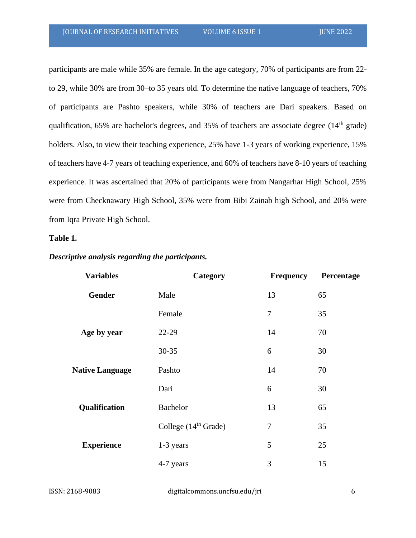participants are male while 35% are female. In the age category, 70% of participants are from 22 to 29, while 30% are from 30–to 35 years old. To determine the native language of teachers, 70% of participants are Pashto speakers, while 30% of teachers are Dari speakers. Based on qualification,  $65\%$  are bachelor's degrees, and  $35\%$  of teachers are associate degree ( $14<sup>th</sup>$  grade) holders. Also, to view their teaching experience, 25% have 1-3 years of working experience, 15% of teachers have 4-7 years of teaching experience, and 60% of teachers have 8-10 years of teaching experience. It was ascertained that 20% of participants were from Nangarhar High School, 25% were from Checknawary High School, 35% were from Bibi Zainab high School, and 20% were from Iqra Private High School.

## **Table 1.**

| <b>Variables</b>       | Category               | Frequency | Percentage |
|------------------------|------------------------|-----------|------------|
| <b>Gender</b>          | Male                   | 13        | 65         |
|                        | Female                 | $\tau$    | 35         |
| Age by year            | 22-29                  | 14        | 70         |
|                        | $30 - 35$              | 6         | 30         |
| <b>Native Language</b> | Pashto                 | 14        | 70         |
|                        | Dari                   | 6         | 30         |
| Qualification          | <b>Bachelor</b>        | 13        | 65         |
|                        | College $(14th$ Grade) | $\tau$    | 35         |
| <b>Experience</b>      | 1-3 years              | 5         | 25         |
|                        | 4-7 years              | 3         | 15         |

## *Descriptive analysis regarding the participants.*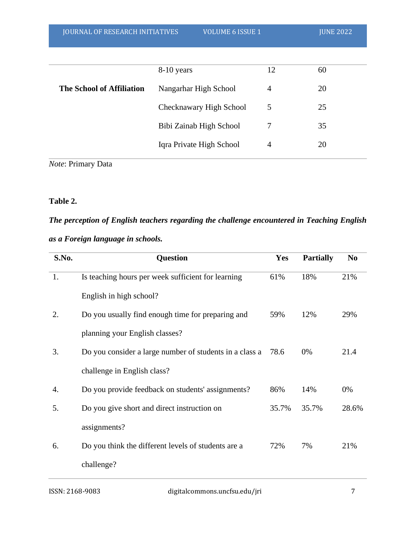| <b>JOURNAL OF RESEARCH INITIATIVES</b> | <b>VOLUME 6 ISSUE 1</b>  |                | <b>JUNE 2022</b> |
|----------------------------------------|--------------------------|----------------|------------------|
|                                        |                          |                |                  |
|                                        | 8-10 years               | 12             | 60               |
| <b>The School of Affiliation</b>       | Nangarhar High School    | $\overline{4}$ | 20               |
|                                        | Checknawary High School  | 5              | 25               |
|                                        | Bibi Zainab High School  | 7              | 35               |
|                                        | Iqra Private High School | 4              | 20               |
|                                        |                          |                |                  |

*Note*: Primary Data

## **Table 2.**

# *The perception of English teachers regarding the challenge encountered in Teaching English as a Foreign language in schools.*

| S.No. | <b>Question</b>                                         | Yes   | <b>Partially</b> | N <sub>0</sub> |
|-------|---------------------------------------------------------|-------|------------------|----------------|
| 1.    | Is teaching hours per week sufficient for learning      | 61%   | 18%              | 21%            |
|       | English in high school?                                 |       |                  |                |
| 2.    | Do you usually find enough time for preparing and       | 59%   | 12%              | 29%            |
|       | planning your English classes?                          |       |                  |                |
| 3.    | Do you consider a large number of students in a class a | 78.6  | 0%               | 21.4           |
|       | challenge in English class?                             |       |                  |                |
| 4.    | Do you provide feedback on students' assignments?       | 86%   | 14%              | 0%             |
| 5.    | Do you give short and direct instruction on             | 35.7% | 35.7%            | 28.6%          |
|       | assignments?                                            |       |                  |                |
| 6.    | Do you think the different levels of students are a     | 72%   | 7%               | 21%            |
|       | challenge?                                              |       |                  |                |
|       |                                                         |       |                  |                |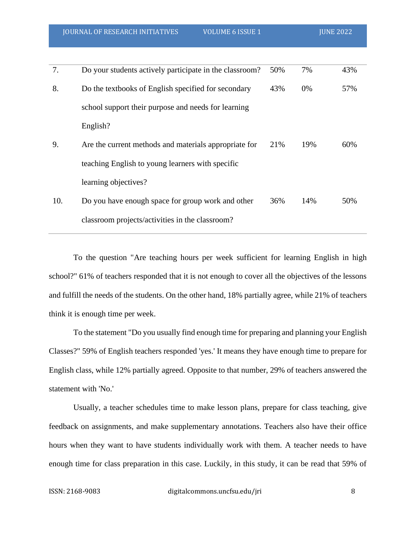| 7.  | Do your students actively participate in the classroom? | 50% | 7%  | 43% |
|-----|---------------------------------------------------------|-----|-----|-----|
| 8.  | Do the textbooks of English specified for secondary     | 43% | 0%  | 57% |
|     | school support their purpose and needs for learning     |     |     |     |
|     | English?                                                |     |     |     |
| 9.  | Are the current methods and materials appropriate for   | 21% | 19% | 60% |
|     | teaching English to young learners with specific        |     |     |     |
|     | learning objectives?                                    |     |     |     |
| 10. | Do you have enough space for group work and other       | 36% | 14% | 50% |
|     | classroom projects/activities in the classroom?         |     |     |     |

To the question "Are teaching hours per week sufficient for learning English in high school?" 61% of teachers responded that it is not enough to cover all the objectives of the lessons and fulfill the needs of the students. On the other hand, 18% partially agree, while 21% of teachers think it is enough time per week.

To the statement "Do you usually find enough time for preparing and planning your English Classes?" 59% of English teachers responded 'yes.' It means they have enough time to prepare for English class, while 12% partially agreed. Opposite to that number, 29% of teachers answered the statement with 'No.'

Usually, a teacher schedules time to make lesson plans, prepare for class teaching, give feedback on assignments, and make supplementary annotations. Teachers also have their office hours when they want to have students individually work with them. A teacher needs to have enough time for class preparation in this case. Luckily, in this study, it can be read that 59% of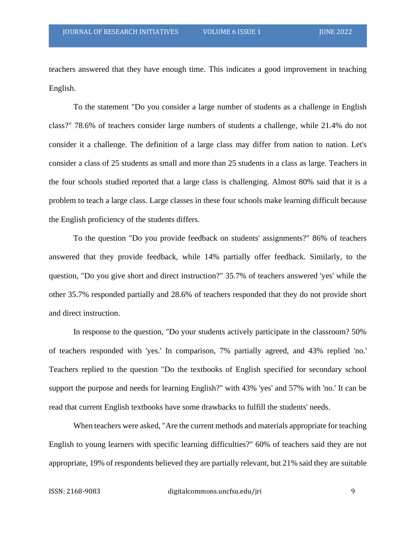teachers answered that they have enough time. This indicates a good improvement in teaching English.

To the statement "Do you consider a large number of students as a challenge in English class?" 78.6% of teachers consider large numbers of students a challenge, while 21.4% do not consider it a challenge. The definition of a large class may differ from nation to nation. Let's consider a class of 25 students as small and more than 25 students in a class as large. Teachers in the four schools studied reported that a large class is challenging. Almost 80% said that it is a problem to teach a large class. Large classes in these four schools make learning difficult because the English proficiency of the students differs.

To the question "Do you provide feedback on students' assignments?" 86% of teachers answered that they provide feedback, while 14% partially offer feedback. Similarly, to the question, "Do you give short and direct instruction?" 35.7% of teachers answered 'yes' while the other 35.7% responded partially and 28.6% of teachers responded that they do not provide short and direct instruction.

In response to the question, "Do your students actively participate in the classroom? 50% of teachers responded with 'yes.' In comparison, 7% partially agreed, and 43% replied 'no.' Teachers replied to the question "Do the textbooks of English specified for secondary school support the purpose and needs for learning English?" with 43% 'yes' and 57% with 'no.' It can be read that current English textbooks have some drawbacks to fulfill the students' needs.

When teachers were asked, "Are the current methods and materials appropriate for teaching English to young learners with specific learning difficulties?" 60% of teachers said they are not appropriate, 19% of respondents believed they are partially relevant, but 21% said they are suitable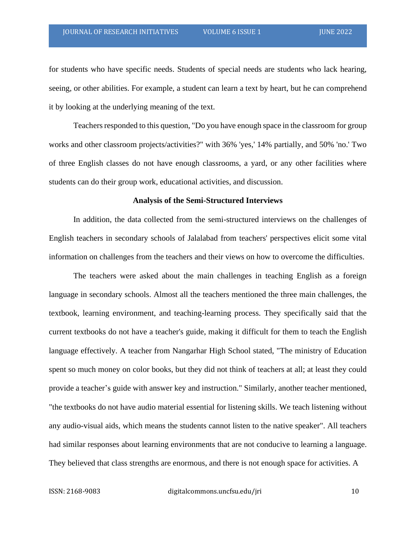for students who have specific needs. Students of special needs are students who lack hearing, seeing, or other abilities. For example, a student can learn a text by heart, but he can comprehend it by looking at the underlying meaning of the text.

Teachers responded to this question, "Do you have enough space in the classroom for group works and other classroom projects/activities?" with 36% 'yes,' 14% partially, and 50% 'no.' Two of three English classes do not have enough classrooms, a yard, or any other facilities where students can do their group work, educational activities, and discussion.

#### **Analysis of the Semi-Structured Interviews**

In addition, the data collected from the semi-structured interviews on the challenges of English teachers in secondary schools of Jalalabad from teachers' perspectives elicit some vital information on challenges from the teachers and their views on how to overcome the difficulties.

The teachers were asked about the main challenges in teaching English as a foreign language in secondary schools. Almost all the teachers mentioned the three main challenges, the textbook, learning environment, and teaching-learning process. They specifically said that the current textbooks do not have a teacher's guide, making it difficult for them to teach the English language effectively. A teacher from Nangarhar High School stated, "The ministry of Education spent so much money on color books, but they did not think of teachers at all; at least they could provide a teacher's guide with answer key and instruction." Similarly, another teacher mentioned, "the textbooks do not have audio material essential for listening skills. We teach listening without any audio-visual aids, which means the students cannot listen to the native speaker". All teachers had similar responses about learning environments that are not conducive to learning a language. They believed that class strengths are enormous, and there is not enough space for activities. A

ISSN: 2168-9083 digitalcommons.uncfsu.edu/jri 10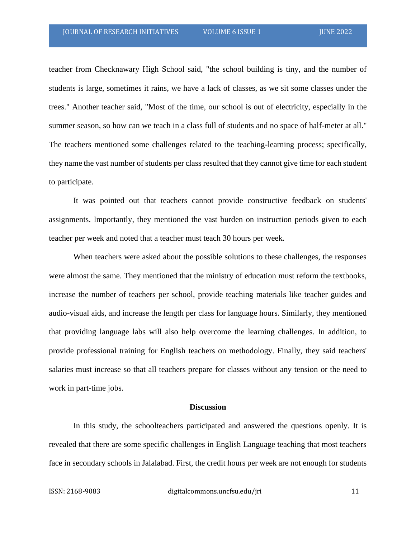teacher from Checknawary High School said, "the school building is tiny, and the number of students is large, sometimes it rains, we have a lack of classes, as we sit some classes under the trees." Another teacher said, "Most of the time, our school is out of electricity, especially in the summer season, so how can we teach in a class full of students and no space of half-meter at all." The teachers mentioned some challenges related to the teaching-learning process; specifically, they name the vast number of students per class resulted that they cannot give time for each student to participate.

It was pointed out that teachers cannot provide constructive feedback on students' assignments. Importantly, they mentioned the vast burden on instruction periods given to each teacher per week and noted that a teacher must teach 30 hours per week.

When teachers were asked about the possible solutions to these challenges, the responses were almost the same. They mentioned that the ministry of education must reform the textbooks, increase the number of teachers per school, provide teaching materials like teacher guides and audio-visual aids, and increase the length per class for language hours. Similarly, they mentioned that providing language labs will also help overcome the learning challenges. In addition, to provide professional training for English teachers on methodology. Finally, they said teachers' salaries must increase so that all teachers prepare for classes without any tension or the need to work in part-time jobs.

#### **Discussion**

In this study, the schoolteachers participated and answered the questions openly. It is revealed that there are some specific challenges in English Language teaching that most teachers face in secondary schools in Jalalabad. First, the credit hours per week are not enough for students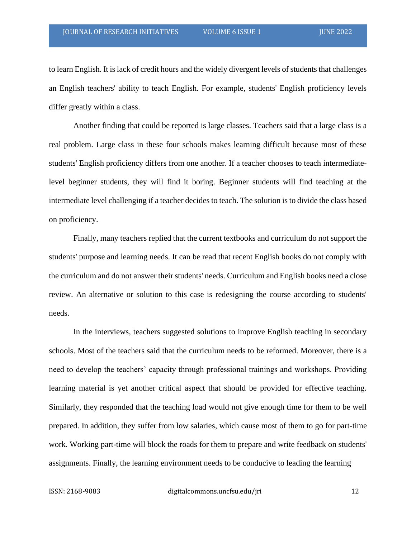to learn English. It is lack of credit hours and the widely divergent levels of students that challenges an English teachers' ability to teach English. For example, students' English proficiency levels differ greatly within a class.

Another finding that could be reported is large classes. Teachers said that a large class is a real problem. Large class in these four schools makes learning difficult because most of these students' English proficiency differs from one another. If a teacher chooses to teach intermediatelevel beginner students, they will find it boring. Beginner students will find teaching at the intermediate level challenging if a teacher decides to teach. The solution is to divide the class based on proficiency.

Finally, many teachers replied that the current textbooks and curriculum do not support the students' purpose and learning needs. It can be read that recent English books do not comply with the curriculum and do not answer their students' needs. Curriculum and English books need a close review. An alternative or solution to this case is redesigning the course according to students' needs.

In the interviews, teachers suggested solutions to improve English teaching in secondary schools. Most of the teachers said that the curriculum needs to be reformed. Moreover, there is a need to develop the teachers' capacity through professional trainings and workshops. Providing learning material is yet another critical aspect that should be provided for effective teaching. Similarly, they responded that the teaching load would not give enough time for them to be well prepared. In addition, they suffer from low salaries, which cause most of them to go for part-time work. Working part-time will block the roads for them to prepare and write feedback on students' assignments. Finally, the learning environment needs to be conducive to leading the learning

ISSN: 2168-9083 digitalcommons.uncfsu.edu/jri 12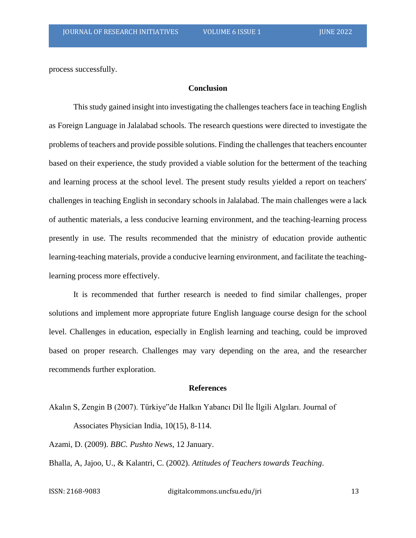process successfully.

## **Conclusion**

This study gained insight into investigating the challenges teachers face in teaching English as Foreign Language in Jalalabad schools. The research questions were directed to investigate the problems of teachers and provide possible solutions. Finding the challenges that teachers encounter based on their experience, the study provided a viable solution for the betterment of the teaching and learning process at the school level. The present study results yielded a report on teachers' challenges in teaching English in secondary schools in Jalalabad. The main challenges were a lack of authentic materials, a less conducive learning environment, and the teaching-learning process presently in use. The results recommended that the ministry of education provide authentic learning-teaching materials, provide a conducive learning environment, and facilitate the teachinglearning process more effectively.

It is recommended that further research is needed to find similar challenges, proper solutions and implement more appropriate future English language course design for the school level. Challenges in education, especially in English learning and teaching, could be improved based on proper research. Challenges may vary depending on the area, and the researcher recommends further exploration.

#### **References**

Akalın S, Zengin B (2007). Türkiye"de Halkın Yabancı Dil İle İlgili Algıları. Journal of Associates Physician India, 10(15), 8-114.

Azami, D. (2009). *BBC. Pushto News*, 12 January.

Bhalla, A, Jajoo, U., & Kalantri, C. (2002). *Attitudes of Teachers towards Teaching*.

ISSN: 2168-9083 digitalcommons.uncfsu.edu/jri 13